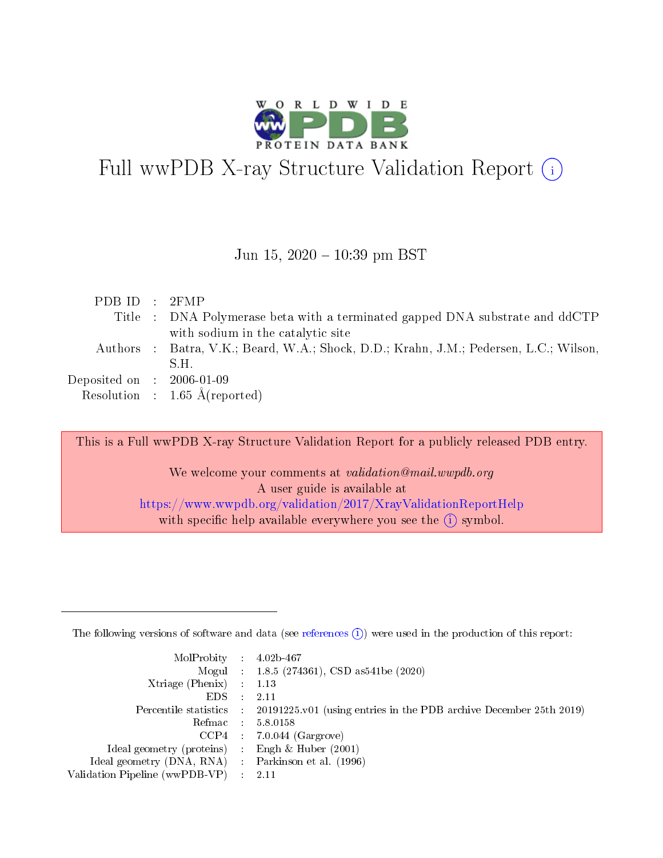

# Full wwPDB X-ray Structure Validation Report  $(i)$

#### Jun 15,  $2020 - 10:39$  pm BST

| PDBID : 2FMP                                                                          |  |
|---------------------------------------------------------------------------------------|--|
| Title : DNA Polymerase beta with a terminated gapped DNA substrate and ddCTP          |  |
| with sodium in the catalytic site                                                     |  |
| Authors : Batra, V.K.; Beard, W.A.; Shock, D.D.; Krahn, J.M.; Pedersen, L.C.; Wilson, |  |
| S.H.                                                                                  |  |
| Deposited on : $2006-01-09$                                                           |  |
| Resolution : $1.65 \text{ Å}$ (reported)                                              |  |

This is a Full wwPDB X-ray Structure Validation Report for a publicly released PDB entry.

We welcome your comments at validation@mail.wwpdb.org A user guide is available at <https://www.wwpdb.org/validation/2017/XrayValidationReportHelp> with specific help available everywhere you see the  $(i)$  symbol.

The following versions of software and data (see [references](https://www.wwpdb.org/validation/2017/XrayValidationReportHelp#references)  $(1)$ ) were used in the production of this report:

| $MolProbability$ : 4.02b-467                        |               |                                                                                            |
|-----------------------------------------------------|---------------|--------------------------------------------------------------------------------------------|
|                                                     |               | Mogul : $1.8.5$ (274361), CSD as 541be (2020)                                              |
| Xtriage (Phenix) $: 1.13$                           |               |                                                                                            |
| EDS.                                                | $\mathcal{L}$ | 2.11                                                                                       |
|                                                     |               | Percentile statistics : 20191225.v01 (using entries in the PDB archive December 25th 2019) |
| Refmac 5.8.0158                                     |               |                                                                                            |
|                                                     |               | $CCP4$ : 7.0.044 (Gargrove)                                                                |
| Ideal geometry (proteins)                           |               | Engh $\&$ Huber (2001)                                                                     |
| Ideal geometry (DNA, RNA) : Parkinson et al. (1996) |               |                                                                                            |
| Validation Pipeline (wwPDB-VP) : 2.11               |               |                                                                                            |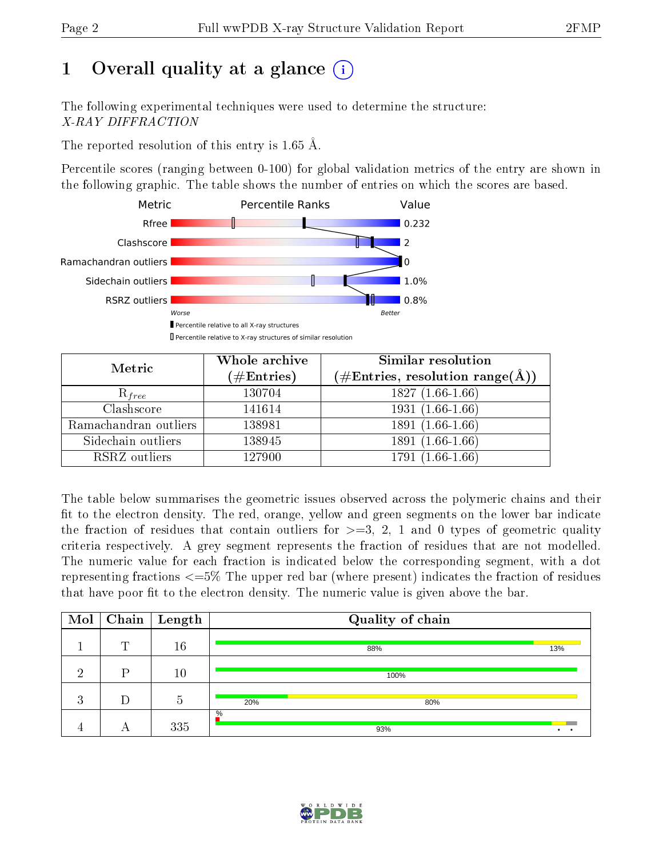## 1 [O](https://www.wwpdb.org/validation/2017/XrayValidationReportHelp#overall_quality)verall quality at a glance  $(i)$

The following experimental techniques were used to determine the structure: X-RAY DIFFRACTION

The reported resolution of this entry is 1.65 Å.

Percentile scores (ranging between 0-100) for global validation metrics of the entry are shown in the following graphic. The table shows the number of entries on which the scores are based.



| Metric                | Whole archive        | <b>Similar resolution</b>                                  |
|-----------------------|----------------------|------------------------------------------------------------|
|                       | $(\#\text{Entries})$ | $(\#\text{Entries}, \text{resolution range}(\text{\AA})\)$ |
| $R_{free}$            | 130704               | $1827(1.66-1.66)$                                          |
| Clashscore            | 141614               | $1931(1.66-1.66)$                                          |
| Ramachandran outliers | 138981               | $1891(1.66-1.66)$                                          |
| Sidechain outliers    | 138945               | 1891 (1.66-1.66)                                           |
| RSRZ outliers         | 127900               | 1791 (1.66-1.66)                                           |

The table below summarises the geometric issues observed across the polymeric chains and their fit to the electron density. The red, orange, yellow and green segments on the lower bar indicate the fraction of residues that contain outliers for  $>=3, 2, 1$  and 0 types of geometric quality criteria respectively. A grey segment represents the fraction of residues that are not modelled. The numeric value for each fraction is indicated below the corresponding segment, with a dot representing fractions <=5% The upper red bar (where present) indicates the fraction of residues that have poor fit to the electron density. The numeric value is given above the bar.

| Mol          |   | $\sqrt{\text{Chain}}$ Length | Quality of chain |     |  |  |  |  |
|--------------|---|------------------------------|------------------|-----|--|--|--|--|
|              | m | 16                           | 88%              | 13% |  |  |  |  |
| ച            | D | 10                           | 100%             |     |  |  |  |  |
| റ<br>$\cdot$ |   | $\mathcal{D}$                | 20%<br>80%       |     |  |  |  |  |
|              |   | 335                          | $\%$<br>93%      |     |  |  |  |  |

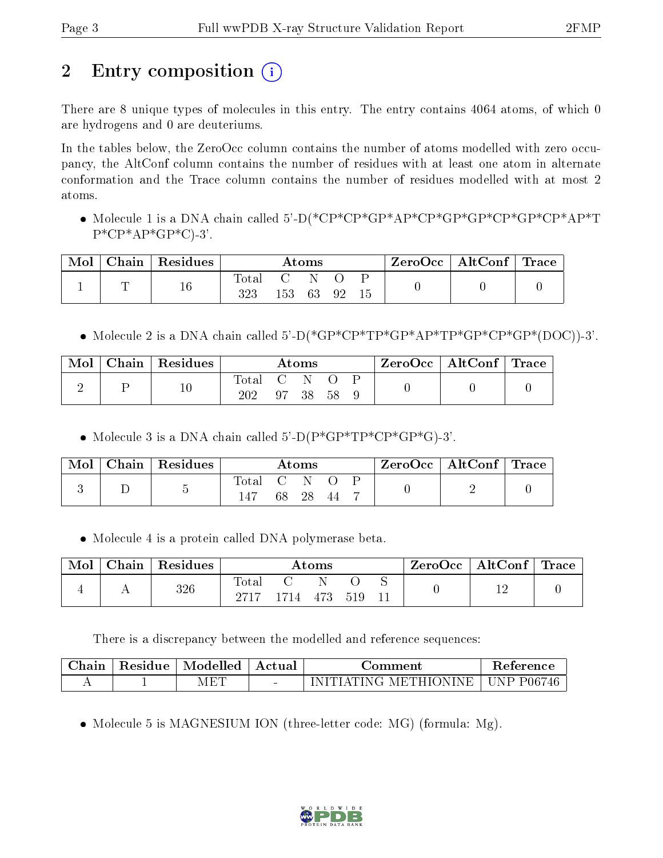# 2 Entry composition  $\left( \cdot \right)$

There are 8 unique types of molecules in this entry. The entry contains 4064 atoms, of which 0 are hydrogens and 0 are deuteriums.

In the tables below, the ZeroOcc column contains the number of atoms modelled with zero occupancy, the AltConf column contains the number of residues with at least one atom in alternate conformation and the Trace column contains the number of residues modelled with at most 2 atoms.

 Molecule 1 is a DNA chain called 5'-D(\*CP\*CP\*GP\*AP\*CP\*GP\*GP\*CP\*GP\*CP\*AP\*T  $P^*CP^*AP^*GP^*C$ -3'.

| Mol | $Chain   Residues$ | Atoms                   |        |        |    |  | $\text{ZeroOcc} \mid \text{AltConf} \mid \text{Trace} \mid$ |  |
|-----|--------------------|-------------------------|--------|--------|----|--|-------------------------------------------------------------|--|
|     | $16\,$             | $\mathrm{Total}$<br>323 | $\sim$ | 153 63 | 92 |  |                                                             |  |

Molecule 2 is a DNA chain called 5'-D(\*GP\*CP\*TP\*GP\*AP\*TP\*GP\*CP\*GP\*(DOC))-3'.

| Mol | Chain   Residues | Atoms        |                          |      |      |  | $\text{ZeroOcc} \mid \text{AltConf} \mid \text{Trace} \mid$ |  |
|-----|------------------|--------------|--------------------------|------|------|--|-------------------------------------------------------------|--|
|     | 10               | Total<br>202 | $\cup$ N $\cap$<br>$-97$ | 38 - | - 58 |  |                                                             |  |

• Molecule 3 is a DNA chain called  $5^{\circ}$ -D(P\*GP\*TP\*CP\*GP\*G)-3'.

| Mol | $\mid$ Chain $\mid$ Residues | Atoms |     |                   |  |  | $ZeroOcc \mid AltConf \mid Trace$ |  |
|-----|------------------------------|-------|-----|-------------------|--|--|-----------------------------------|--|
|     |                              | Total | 68. | $\cdot$ C N<br>28 |  |  |                                   |  |

Molecule 4 is a protein called DNA polymerase beta.

| Mol | Chain | Residues | $\rm{Atoms}$        |      |     |     |  | $_+$ ZeroOcc $^+$ | AltConf $ $ | $\Gamma$ Trace |
|-----|-------|----------|---------------------|------|-----|-----|--|-------------------|-------------|----------------|
|     |       | 326      | $\rm Total$<br>2717 | 1714 | 473 | 519 |  |                   |             |                |

There is a discrepancy between the modelled and reference sequences:

| Chain | Residue  | Modelled | Actual | ാന്ന ment                             | Reference.                               |
|-------|----------|----------|--------|---------------------------------------|------------------------------------------|
|       | <b>.</b> | AET      | $\sim$ | $NINE +$<br>≅ METHIONI⊾<br>'TIA'TING' | P06746<br>$\top \mathsf{N} \mathsf{P}$ . |

• Molecule 5 is MAGNESIUM ION (three-letter code: MG) (formula: Mg).

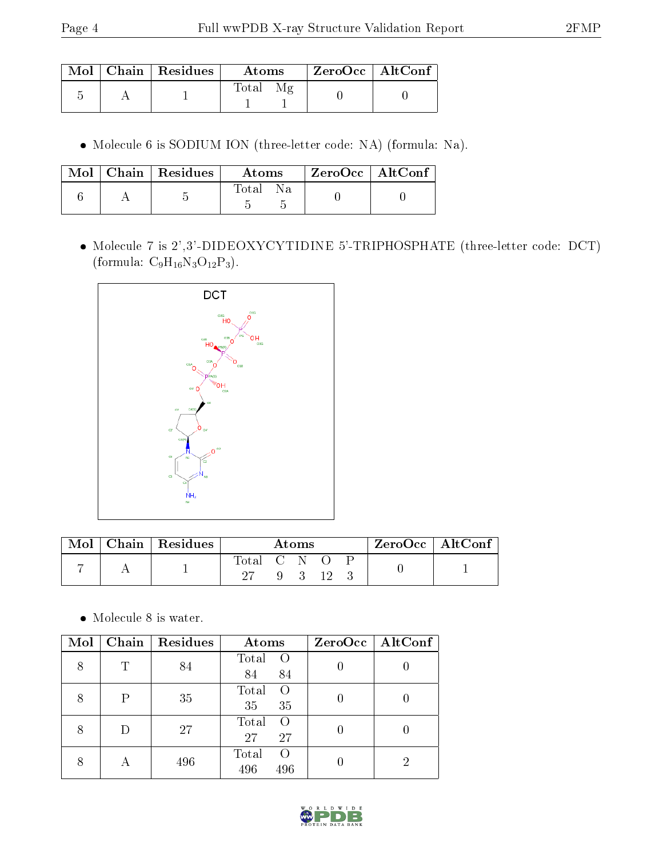|  | $\pm \mathbf{Mol} \perp \mathbf{Chain} \perp \mathbf{Residues}^{-1}$ | Atoms | $\mid$ ZeroOcc $\mid$ AltConf |  |
|--|----------------------------------------------------------------------|-------|-------------------------------|--|
|  |                                                                      | Total |                               |  |

Molecule 6 is SODIUM ION (three-letter code: NA) (formula: Na).

|  | $\text{Mol}$   Chain   Residues | Atoms    | ZeroOcc   AltConf |  |
|--|---------------------------------|----------|-------------------|--|
|  |                                 | Total Na |                   |  |

 Molecule 7 is 2',3'-DIDEOXYCYTIDINE 5'-TRIPHOSPHATE (three-letter code: DCT) (formula:  $C_9H_{16}N_3O_{12}P_3$ ).



| Mol | $\mid$ Chain $\mid$ Residues | A toms        |  |  |          | ZeroOcc   AltConf |  |  |
|-----|------------------------------|---------------|--|--|----------|-------------------|--|--|
|     |                              | Total C N O P |  |  | 9 3 12 3 |                   |  |  |
|     |                              |               |  |  |          |                   |  |  |

 $\bullet\,$  Molecule 8 is water.

| Mol |   | Chain   Residues | Atoms                                   | $ZeroOcc \mid AltConf \mid$ |
|-----|---|------------------|-----------------------------------------|-----------------------------|
| 8   | Т | 84               | Total<br>$\circ$ O<br>84<br>84          |                             |
|     | P | 35               | Total<br>$\Omega$<br>35<br>35           |                             |
|     |   | 27               | Total<br>$\Omega$<br>27<br>27           |                             |
|     |   | 496              | Total<br>$\left( \right)$<br>496<br>496 |                             |

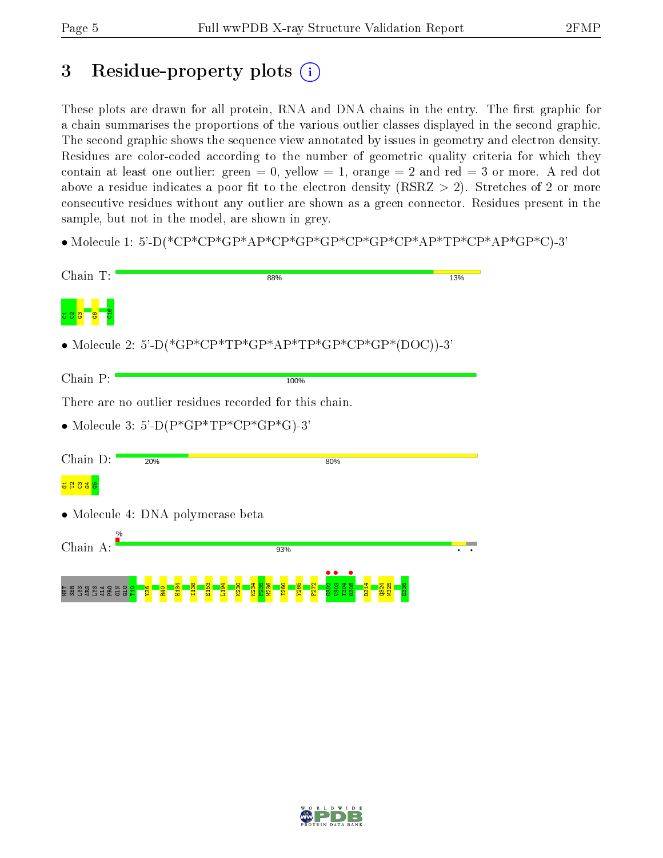## 3 Residue-property plots  $(i)$

These plots are drawn for all protein, RNA and DNA chains in the entry. The first graphic for a chain summarises the proportions of the various outlier classes displayed in the second graphic. The second graphic shows the sequence view annotated by issues in geometry and electron density. Residues are color-coded according to the number of geometric quality criteria for which they contain at least one outlier: green  $= 0$ , yellow  $= 1$ , orange  $= 2$  and red  $= 3$  or more. A red dot above a residue indicates a poor fit to the electron density (RSRZ  $> 2$ ). Stretches of 2 or more consecutive residues without any outlier are shown as a green connector. Residues present in the sample, but not in the model, are shown in grey.

• Molecule 1: 5'-D(\*CP\*CP\*GP\*AP\*CP\*GP\*GP\*CP\*GP\*CP\*AP\*TP\*CP\*AP\*GP\*C)-3'

| Chain T:                                                 | 88%                                                    | 13% |  |  |  |  |  |
|----------------------------------------------------------|--------------------------------------------------------|-----|--|--|--|--|--|
|                                                          |                                                        |     |  |  |  |  |  |
| • Molecule 2: 5'-D(*GP*CP*TP*GP*AP*TP*GP*CP*GP*(DOC))-3' |                                                        |     |  |  |  |  |  |
| Chain P:                                                 | 100%                                                   |     |  |  |  |  |  |
|                                                          | There are no outlier residues recorded for this chain. |     |  |  |  |  |  |
| • Molecule 3: 5'-D( $P*GP*TP*CP*GP*GP*G$ )-3'            |                                                        |     |  |  |  |  |  |
|                                                          |                                                        |     |  |  |  |  |  |
| Chain D:<br>20%                                          | 80%                                                    |     |  |  |  |  |  |
| <mark>5833</mark> 8                                      |                                                        |     |  |  |  |  |  |
| • Molecule 4: DNA polymerase beta                        |                                                        |     |  |  |  |  |  |
| $\%$                                                     |                                                        |     |  |  |  |  |  |
| Chain A:                                                 | 93%                                                    |     |  |  |  |  |  |
| <b>NE BASA SE SE SE</b>                                  |                                                        |     |  |  |  |  |  |

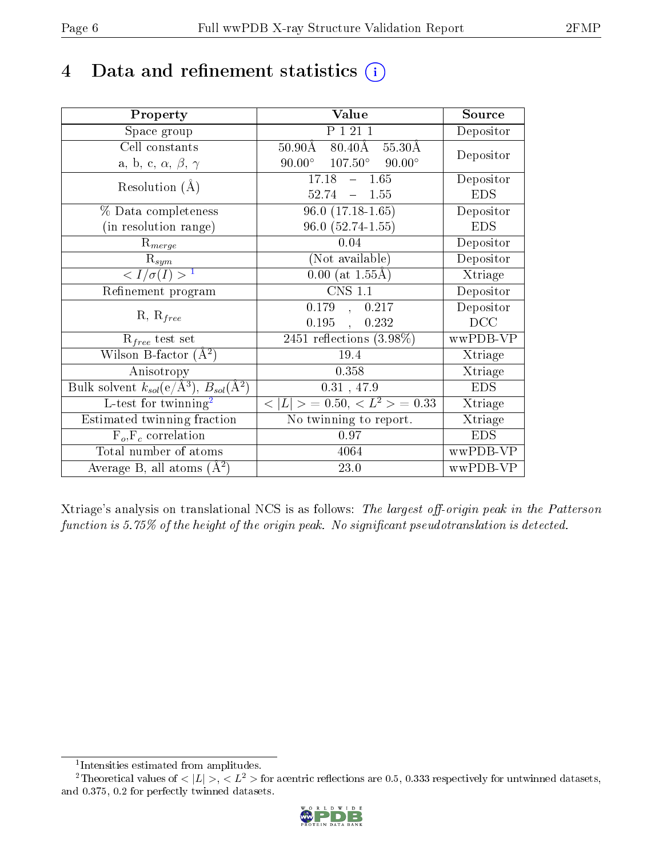## 4 Data and refinement statistics  $(i)$

| Property                                                         | Value                                                    | Source     |
|------------------------------------------------------------------|----------------------------------------------------------|------------|
| Space group                                                      | P 1 21 1                                                 | Depositor  |
| Cell constants                                                   | $50.90\text{\AA}$ $80.40\text{\AA}$<br>$55.30\text{\AA}$ | Depositor  |
| a, b, c, $\alpha$ , $\beta$ , $\gamma$                           | $90.00^{\circ}$ $107.50^{\circ}$ $90.00^{\circ}$         |            |
| Resolution $(A)$                                                 | 17.18<br>$-1.65$                                         | Depositor  |
|                                                                  | $52.74 = 1.55$                                           | <b>EDS</b> |
| % Data completeness                                              | $96.0(17.18-1.65)$                                       | Depositor  |
| (in resolution range)                                            | $96.0(52.74-1.55)$                                       | <b>EDS</b> |
| $R_{merge}$                                                      | 0.04                                                     | Depositor  |
| $\mathrm{R}_{sym}$                                               | (Not available)                                          | Depositor  |
| $\langle I/\sigma(I) \rangle^{-1}$                               | $0.00$ (at 1.55Å)                                        | Xtriage    |
| Refinement program                                               | <b>CNS 1.1</b>                                           | Depositor  |
| $R, R_{free}$                                                    | 0.179,<br>0.217                                          | Depositor  |
|                                                                  | 0.195<br>0.232<br>$\mathcal{L}_{\mathcal{A}}$            | DCC        |
| $R_{free}$ test set                                              | 2451 reflections $(3.98\%)$                              | wwPDB-VP   |
| Wilson B-factor $(A^2)$                                          | 19.4                                                     | Xtriage    |
| Anisotropy                                                       | 0.358                                                    | Xtriage    |
| Bulk solvent $k_{sol}(\text{e}/\text{A}^3), B_{sol}(\text{A}^2)$ | $0.31$ , 47.9                                            | <b>EDS</b> |
| L-test for twinning <sup>2</sup>                                 | $< L >$ = 0.50, $< L2 >$ = 0.33                          | Xtriage    |
| Estimated twinning fraction                                      | No twinning to report.                                   | Xtriage    |
| $F_o, F_c$ correlation                                           | 0.97                                                     | <b>EDS</b> |
| Total number of atoms                                            | 4064                                                     | wwPDB-VP   |
| Average B, all atoms $(A^2)$                                     | 23.0                                                     | wwPDB-VP   |

Xtriage's analysis on translational NCS is as follows: The largest off-origin peak in the Patterson function is  $5.75\%$  of the height of the origin peak. No significant pseudotranslation is detected.

<sup>&</sup>lt;sup>2</sup>Theoretical values of  $\langle |L| \rangle$ ,  $\langle L^2 \rangle$  for acentric reflections are 0.5, 0.333 respectively for untwinned datasets, and 0.375, 0.2 for perfectly twinned datasets.



<span id="page-5-1"></span><span id="page-5-0"></span><sup>1</sup> Intensities estimated from amplitudes.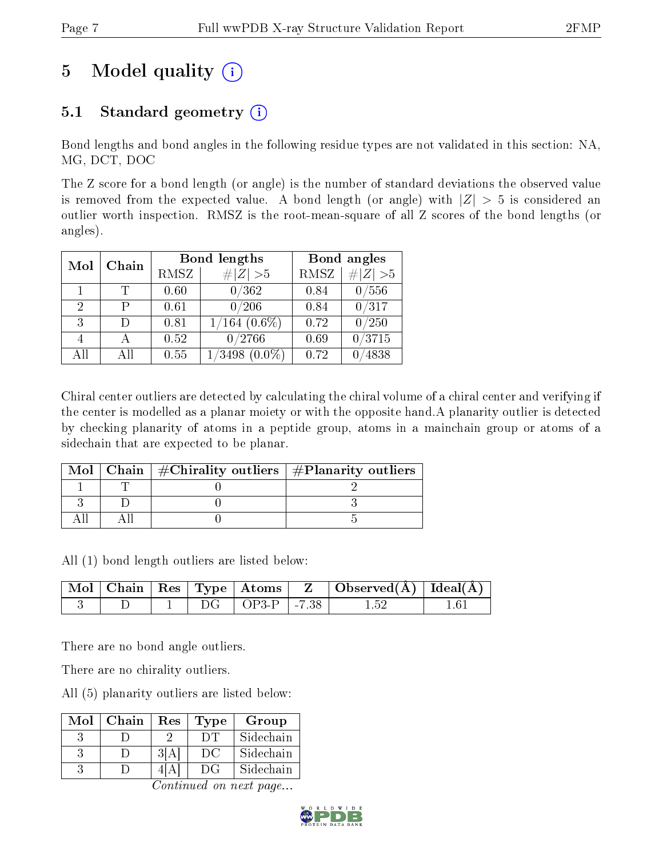# 5 Model quality  $(i)$

### 5.1 Standard geometry  $(i)$

Bond lengths and bond angles in the following residue types are not validated in this section: NA, MG, DCT, DOC

The Z score for a bond length (or angle) is the number of standard deviations the observed value is removed from the expected value. A bond length (or angle) with  $|Z| > 5$  is considered an outlier worth inspection. RMSZ is the root-mean-square of all Z scores of the bond lengths (or angles).

| Mol | Chain           |      | <b>Bond lengths</b>          | Bond angles |          |  |
|-----|-----------------|------|------------------------------|-------------|----------|--|
|     |                 | RMSZ | # $ Z >5$                    | <b>RMSZ</b> | # Z  > 5 |  |
|     |                 | 0.60 | 0/362                        | 0.84        | /556     |  |
| 2   | Р               | 0.61 | 0/206                        | 0.84        | 0/317    |  |
| 3   | $\Box$          | 0.81 | $1/164$ $(0.6\%)$            | 0.72        | 0/250    |  |
|     |                 | 0.52 | 0/2766                       | 0.69        | /3715    |  |
| All | A <sub>II</sub> | 0.55 | $^{\prime}3498$<br>$(0.0\%)$ | 0.72        | 4838     |  |

Chiral center outliers are detected by calculating the chiral volume of a chiral center and verifying if the center is modelled as a planar moiety or with the opposite hand.A planarity outlier is detected by checking planarity of atoms in a peptide group, atoms in a mainchain group or atoms of a sidechain that are expected to be planar.

|  | Mol   Chain   $\#\text{Chirality outliers}$   $\#\text{Planarity outliers}$ |
|--|-----------------------------------------------------------------------------|
|  |                                                                             |
|  |                                                                             |
|  |                                                                             |

All (1) bond length outliers are listed below:

|  |  | $\mid$ Mol $\mid$ Chain $\mid$ Res $\mid$ Type $\mid$ Atoms $\mid$ |                         | $\parallel$ Z $\parallel$ Observed(A) $\parallel$ Ideal(A) $\parallel$ |  |
|--|--|--------------------------------------------------------------------|-------------------------|------------------------------------------------------------------------|--|
|  |  | $\overline{OP3-P}$                                                 | $\cdot$ $\cdot$ $\cdot$ |                                                                        |  |

There are no bond angle outliers.

There are no chirality outliers.

All (5) planarity outliers are listed below:

| Mol | Chain | Res | <b>Type</b> | Group     |
|-----|-------|-----|-------------|-----------|
|     |       |     |             | Sidechain |
|     |       |     | ĐC          | Sidechain |
|     |       |     |             | Sidechain |

Continued on next page...

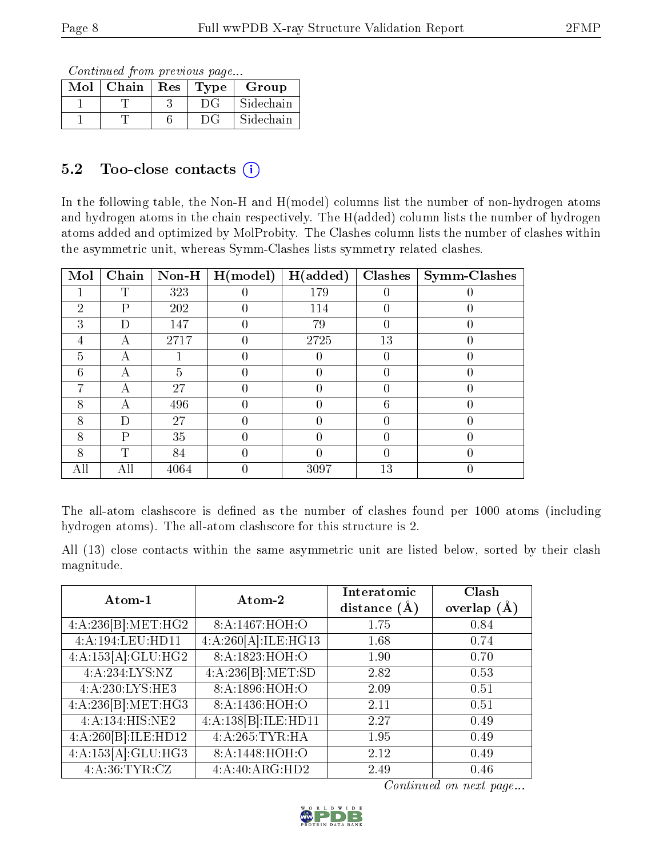Continued from previous page...

| $Mol$   Chain   Res | Type | Group     |
|---------------------|------|-----------|
|                     | DG   | Sidechain |
|                     | DG.  | Sidechain |

### 5.2 Too-close contacts  $(i)$

In the following table, the Non-H and H(model) columns list the number of non-hydrogen atoms and hydrogen atoms in the chain respectively. The H(added) column lists the number of hydrogen atoms added and optimized by MolProbity. The Clashes column lists the number of clashes within the asymmetric unit, whereas Symm-Clashes lists symmetry related clashes.

| Mol | Chain | $Non-H$ | H (model) | H(added) | Clashes          | <b>Symm-Clashes</b> |
|-----|-------|---------|-----------|----------|------------------|---------------------|
|     | T     | 323     |           | 179      |                  |                     |
| 2   | Ρ     | 202     |           | 114      |                  |                     |
| 3   | D     | 147     |           | 79       | $\left( \right)$ |                     |
| 4   | А     | 2717    |           | 2725     | 13               |                     |
| 5   | А     |         |           |          |                  |                     |
| 6   | А     | 5       |           |          |                  |                     |
| 7   | А     | 27      |           |          |                  |                     |
| 8   | А     | 496     |           |          | 6                |                     |
| 8   | Ð     | 27      |           |          |                  |                     |
| 8   | P     | 35      |           | 0        |                  |                     |
| 8   | ጥ     | 84      |           |          |                  |                     |
| All | All   | 4064    |           | 3097     | 13               |                     |

The all-atom clashscore is defined as the number of clashes found per 1000 atoms (including hydrogen atoms). The all-atom clashscore for this structure is 2.

All (13) close contacts within the same asymmetric unit are listed below, sorted by their clash magnitude.

| Atom-1              | Atom-2                                 | Interatomic<br>distance $(A)$ | Clash<br>overlap $(\AA)$ |  |
|---------------------|----------------------------------------|-------------------------------|--------------------------|--|
| 4:A:236[B]:MET:HG2  | 8:A:1467:HOH:O                         | 1.75                          | 0.84                     |  |
| 4:A:194:LEU:HD11    | 4:A:260[A]:ILE:HG13                    | 1.68                          | 0.74                     |  |
| 4:A:153[A]:GLU:HG2  | 8:A:1823:HOH:O                         | 1.90                          | 0.70                     |  |
| 4:A:234:LYS:NZ      | 4:A:236[B]:MET:SD                      | 2.82                          | 0.53                     |  |
| 4:A:230:LYS:HE3     | 8: A: 1896: HOH:O                      | 2.09                          | 0.51                     |  |
| 4:A:236[B]:MET:HG3  | 8:A:1436:H <sub>0</sub> H <sub>0</sub> | 2.11                          | 0.51                     |  |
| 4:A:134:HIS:NE2     | 4:A:138[B]:ILE:HD11                    | 2.27                          | 0.49                     |  |
| 4:A:260[B]:ILE:HD12 | 4:A:265:TYR:HA                         | 1.95                          | 0.49                     |  |
| 4:A:153[A]:GLU:HG3  | 8:A:1448:HOH:O                         | 2.12                          | 0.49                     |  |
| 4: A:36:TYR:CZ      | 4:A:40:ARG:HD2                         | 2.49                          | 0.46                     |  |

Continued on next page...

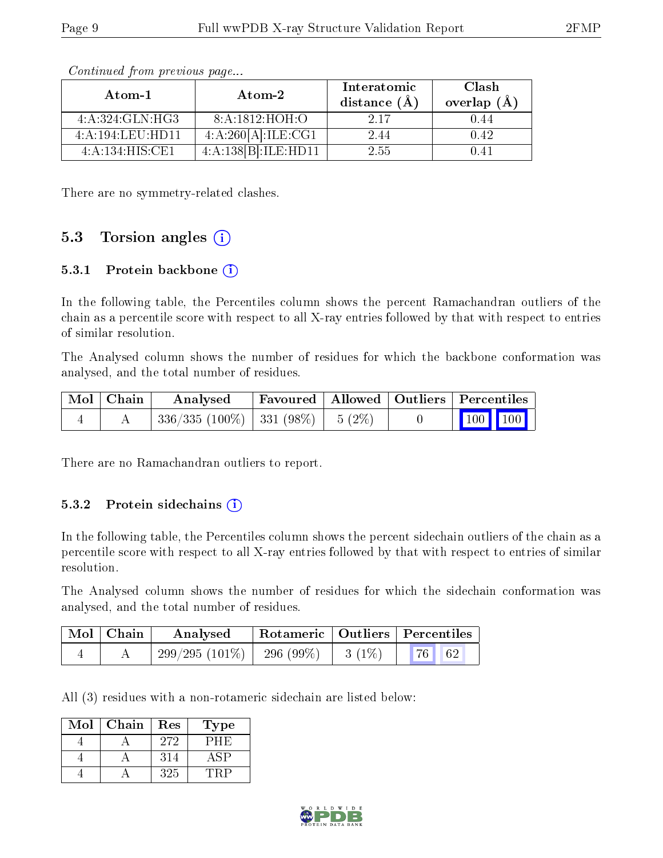| Atom-1           | Atom-2              | Interatomic<br>distance $(A)$ | Clash<br>overlap $(A)$ |  |
|------------------|---------------------|-------------------------------|------------------------|--|
| 4:A:324:GLN:HG3  | 8: A: 1812: HOH:O   | 2 17                          | 0.44                   |  |
| 4:A:194:LEU:HDI1 | 4:A:260[A]:ILE:CG1  | 2.44                          | 0.42                   |  |
| 4:A:134:HIS:CE1  | 4:A:138[B]:ILE:HD11 | 2.55                          | () 41                  |  |

Continued from previous page...

There are no symmetry-related clashes.

#### 5.3 Torsion angles  $(i)$

#### 5.3.1 Protein backbone (i)

In the following table, the Percentiles column shows the percent Ramachandran outliers of the chain as a percentile score with respect to all X-ray entries followed by that with respect to entries of similar resolution.

The Analysed column shows the number of residues for which the backbone conformation was analysed, and the total number of residues.

| Mol   Chain | Analysed                                 | Favoured   Allowed   Outliers   Percentiles |  |                                                              |  |
|-------------|------------------------------------------|---------------------------------------------|--|--------------------------------------------------------------|--|
|             | $336/335 (100\%)$   331 (98\%)   5 (2\%) |                                             |  | $\begin{array}{ c c c c c }\n\hline\n100 & 100\n\end{array}$ |  |

There are no Ramachandran outliers to report.

#### 5.3.2 Protein sidechains  $(i)$

In the following table, the Percentiles column shows the percent sidechain outliers of the chain as a percentile score with respect to all X-ray entries followed by that with respect to entries of similar resolution.

The Analysed column shows the number of residues for which the sidechain conformation was analysed, and the total number of residues.

| $Mol$   Chain | Analysed         |           |          | Rotameric   Outliers   Percentiles |  |
|---------------|------------------|-----------|----------|------------------------------------|--|
|               | $299/295(101\%)$ | 296 (99%) | $3(1\%)$ | $\mid 76 \mid \mid 62 \mid$        |  |

All (3) residues with a non-rotameric sidechain are listed below:

| Mol | Chain | Res | 'Type |
|-----|-------|-----|-------|
|     |       | 272 | РНЮ   |
|     |       | 314 | l SP  |
|     |       | 325 |       |

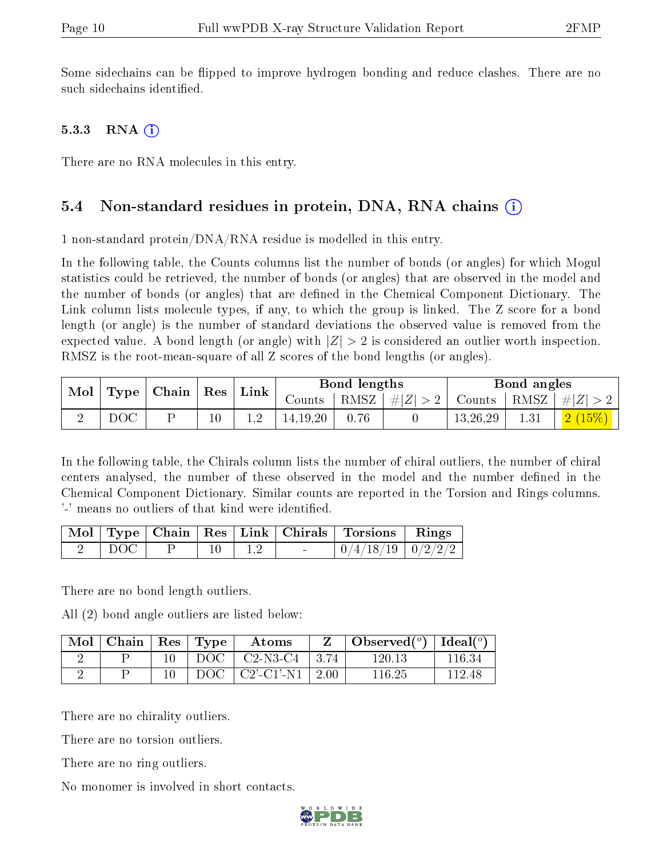Some sidechains can be flipped to improve hydrogen bonding and reduce clashes. There are no such sidechains identified.

#### 5.3.3 RNA  $(i)$

There are no RNA molecules in this entry.

#### 5.4 Non-standard residues in protein, DNA, RNA chains (i)

1 non-standard protein/DNA/RNA residue is modelled in this entry.

In the following table, the Counts columns list the number of bonds (or angles) for which Mogul statistics could be retrieved, the number of bonds (or angles) that are observed in the model and the number of bonds (or angles) that are defined in the Chemical Component Dictionary. The Link column lists molecule types, if any, to which the group is linked. The Z score for a bond length (or angle) is the number of standard deviations the observed value is removed from the expected value. A bond length (or angle) with  $|Z| > 2$  is considered an outlier worth inspection. RMSZ is the root-mean-square of all Z scores of the bond lengths (or angles).

|     | $\vert$ Mol $\vert$ Type $\vert$ Chain $\vert$ Res $\vert$ |        | $\mid$ Link $\mid$ | Bond lengths |      |  | Bond angles |          |                                                                   |
|-----|------------------------------------------------------------|--------|--------------------|--------------|------|--|-------------|----------|-------------------------------------------------------------------|
|     |                                                            |        |                    |              |      |  |             |          | Counts   RMSZ $\mid \#  Z  > 2$   Counts   RMSZ $\mid \#  Z  > 2$ |
| DOC |                                                            | $10\,$ |                    | 14, 19, 20   | 0.76 |  | 13,26,29    | $1.31\,$ | $\mid$ $\mid 2\ (15\%) \mid$                                      |

In the following table, the Chirals column lists the number of chiral outliers, the number of chiral centers analysed, the number of these observed in the model and the number defined in the Chemical Component Dictionary. Similar counts are reported in the Torsion and Rings columns. '-' means no outliers of that kind were identified.

|       |  |             | Mol   Type   Chain   Res   Link   Chirals   Torsions   Rings |  |
|-------|--|-------------|--------------------------------------------------------------|--|
| DOC ' |  | $\perp$ 1.2 | $0/4/18/19$   $0/2/2/2$                                      |  |

There are no bond length outliers.

All (2) bond angle outliers are listed below:

| Mol | $\mid$ Chain $\mid$ Res $\mid$ | $\perp$ Type | Atoms                                                 |            | Observed $(°)$ | Ideal( $^o$ ) |
|-----|--------------------------------|--------------|-------------------------------------------------------|------------|----------------|---------------|
|     |                                | DOC -        | $\mid$ C <sub>2</sub> -N <sub>3</sub> -C <sub>4</sub> | $\pm 3.74$ | $120.13\,$     | 116.34        |
|     |                                | DOC          | $\mid$ C2'-C1'-N1 $\mid$ 2.00                         |            | 116.25         | 119 48        |

There are no chirality outliers.

There are no torsion outliers.

There are no ring outliers.

No monomer is involved in short contacts.

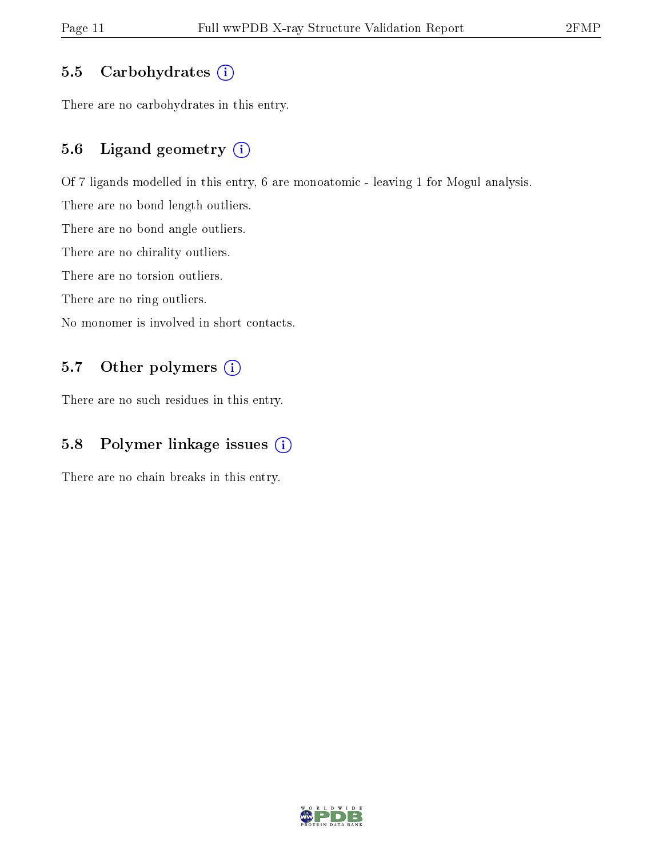#### 5.5 Carbohydrates  $(i)$

There are no carbohydrates in this entry.

#### 5.6 Ligand geometry (i)

Of 7 ligands modelled in this entry, 6 are monoatomic - leaving 1 for Mogul analysis.

There are no bond length outliers.

There are no bond angle outliers.

There are no chirality outliers.

There are no torsion outliers.

There are no ring outliers.

No monomer is involved in short contacts.

#### 5.7 [O](https://www.wwpdb.org/validation/2017/XrayValidationReportHelp#nonstandard_residues_and_ligands)ther polymers (i)

There are no such residues in this entry.

#### 5.8 Polymer linkage issues (i)

There are no chain breaks in this entry.

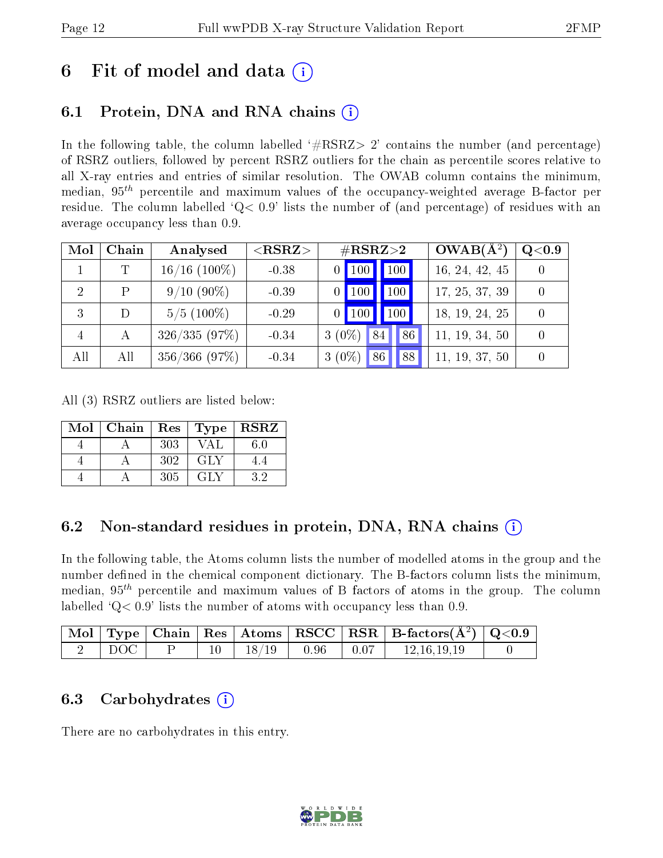### 6 Fit of model and data  $\left( \cdot \right)$

### 6.1 Protein, DNA and RNA chains (i)

In the following table, the column labelled  $#RSRZ>2'$  contains the number (and percentage) of RSRZ outliers, followed by percent RSRZ outliers for the chain as percentile scores relative to all X-ray entries and entries of similar resolution. The OWAB column contains the minimum, median,  $95<sup>th</sup>$  percentile and maximum values of the occupancy-weighted average B-factor per residue. The column labelled ' $Q< 0.9$ ' lists the number of (and percentage) of residues with an average occupancy less than 0.9.

| Mol            | Chain | Analysed       | ${ <\hspace{-1.5pt}{\mathrm{RSRZ}} \hspace{-1.5pt}>}$ | $\#\text{RSRZ}{>}2$  | $OWAB(A^2)$<br>Q <sub>0.9</sub> |
|----------------|-------|----------------|-------------------------------------------------------|----------------------|---------------------------------|
|                |       | $16/16$ (100%) | $-0.38$                                               | 100<br>$0$   100     | 16, 24, 42, 45                  |
| $\overline{2}$ | P     | $9/10(90\%)$   | $-0.39$                                               | 100<br>100           | 17, 25, 37, 39                  |
| 3              |       | $5/5$ (100\%)  | $-0.29$                                               | 100<br>$0$   100     | 18, 19, 24, 25                  |
| $\overline{4}$ | А     | 326/335(97%)   | $-0.34$                                               | $3(0\%)$<br>86<br>84 | 11, 19, 34, 50                  |
| All            | All   | 356/366(97%)   | $-0.34$                                               | $3(0\%)$<br>86<br>88 | 11, 19, 37, 50                  |

All (3) RSRZ outliers are listed below:

| Mol | Chain | Res | $\top$ Type $\top$ | <b>RSRZ</b> |
|-----|-------|-----|--------------------|-------------|
|     |       | 303 | VA L               | 6.0         |
|     |       | 302 | GLY                | 4.4         |
|     |       | 305 | GLY                | 32          |

### 6.2 Non-standard residues in protein, DNA, RNA chains  $(i)$

In the following table, the Atoms column lists the number of modelled atoms in the group and the number defined in the chemical component dictionary. The B-factors column lists the minimum, median,  $95<sup>th</sup>$  percentile and maximum values of B factors of atoms in the group. The column labelled  $Q<sub>0.9</sub>$  lists the number of atoms with occupancy less than 0.9.

|       |  |                           |         | $\mid$ Mol $\mid$ Type $\mid$ Chain $\mid$ Res $\mid$ Atoms $\mid$ RSCC $\mid$ RSR $\mid$ B-factors(A <sup>2</sup> ) $\mid$ Q<0.9 |  |
|-------|--|---------------------------|---------|-----------------------------------------------------------------------------------------------------------------------------------|--|
| ' DOC |  | $10 \mid 18/19 \mid 0.96$ | $+0.07$ | 12.16.19.19                                                                                                                       |  |

### 6.3 Carbohydrates (i)

There are no carbohydrates in this entry.